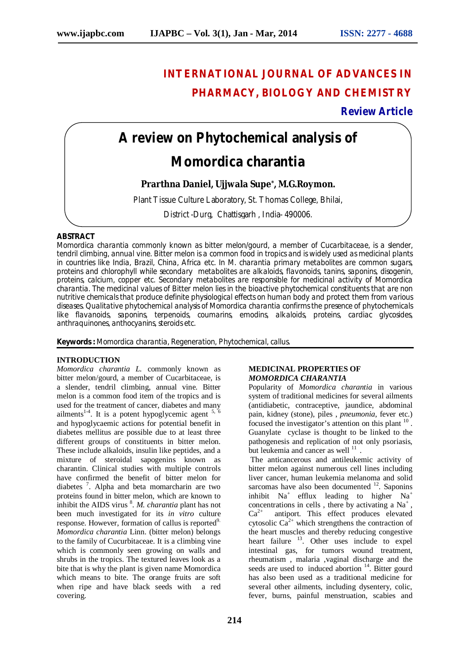# **INTERNATIONAL JOURNAL OF ADVANCES IN PHARMACY, BIOLOGY AND CHEMISTRY**

## **Review Article**

# **A review on Phytochemical analysis of**

## *Momordica charantia*

**Prarthna Daniel, Ujjwala Supe\* , M.G.Roymon.**

Plant Tissue Culture Laboratory, St. Thomas College, Bhilai,

District -Durg, Chattisgarh , India- 490006.

#### **ABSTRACT**

*Momordica charantia* commonly known as bitter melon/gourd, a member of Cucarbitaceae, is a slender, tendril climbing, annual vine. Bitter melon is a common food in tropics and is widely used as medicinal plants in countries like India, Brazil, China, Africa etc. In *M. charantia* primary metabolites are common sugars, proteins and chlorophyll while secondary metabolites are alkaloids, flavonoids, tanins, saponins, disogenin, proteins, calcium, copper etc. Secondary metabolites are responsible for medicinal activity of *Momordica charantia*. The medicinal values of Bitter melon lies in the bioactive phytochemical constituents that are non nutritive chemicals that produce definite physiological effects on human body and protect them from various diseases. Qualitative phytochemical analysis of *Momordica charantia* confirms the presence of phytochemicals like flavanoids, saponins, terpenoids, coumarins, emodins, alkaloids, proteins, cardiac glycosides, anthraquinones, anthocyanins, steroids etc.

**Keywords :** *Momordica charantia,* Regeneration, Phytochemical, callus.

#### **INTRODUCTION**

*Momordica charantia L.* commonly known as bitter melon/gourd, a member of Cucarbitaceae, is a slender, tendril climbing, annual vine. Bitter melon is a common food item of the tropics and is used for the treatment of cancer, diabetes and many ailments<sup>1-4</sup>. It is a potent hypoglycemic agent  $5, 6$ and hypoglycaemic actions for potential benefit in diabetes mellitus are possible due to at least three different groups of constituents in bitter melon. These include alkaloids, insulin like peptides, and a mixture of steroidal sapogenins known as charantin. Clinical studies with multiple controls have confirmed the benefit of bitter melon for diabetes<sup>7</sup>. Alpha and beta momarcharin are two proteins found in bitter melon, which are known to inhibit the AIDS virus <sup>8</sup>. *M. charantia* plant has not been much investigated for its *in vitro* culture response. However, formation of callus is reported<sup>9.</sup> *Momordica charantia* Linn. (bitter melon) belongs to the family of Cucurbitaceae. It is a climbing vine which is commonly seen growing on walls and shrubs in the tropics. The textured leaves look as a bite that is why the plant is given name Momordica which means to bite. The orange fruits are soft when ripe and have black seeds with a red covering.

#### **MEDICINAL PROPERTIES OF**  *MOMORDICA CHARANTIA*

Popularity of *Momordica charantia* in various system of traditional medicines for several ailments (antidiabetic, contraceptive, jaundice, abdominal pain, kidney (stone), piles , *pneumonia*, fever etc.) focused the investigator's attention on this plant  $10$ . Guanylate cyclase is thought to be linked to the pathogenesis and replication of not only psoriasis, but leukemia and cancer as well <sup>11</sup>.

The anticancerous and antileukemic activity of bitter melon against numerous cell lines including liver cancer, human leukemia melanoma and solid sarcomas have also been documented  $12$ . Saponins inhibit Na<sup>+</sup> efflux leading to higher Na<sup>+</sup> concentrations in cells, there by activating a  $Na<sup>+</sup>$ , Ca<sup>2+</sup> antiport. This effect produces elevated cytosolic  $Ca^{2+}$  which strengthens the contraction of the heart muscles and thereby reducing congestive heart failure <sup>13</sup>. Other uses include to expel intestinal gas, for tumors wound treatment, rheumatism , malaria ,vaginal discharge and the seeds are used to induced abortion  $14$ . Bitter gourd has also been used as a traditional medicine for several other ailments, including dysentery, colic, fever, burns, painful menstruation, scabies and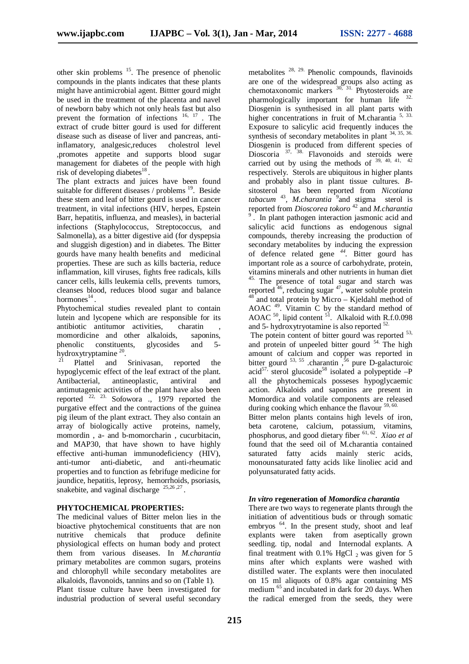other skin problems  $15$ . The presence of phenolic compounds in the plants indicates that these plants might have antimicrobial agent. Bittter gourd might be used in the treatment of the placenta and navel of newborn baby which not only heals fast but also prevent the formation of infections  $16, 17$ . The extract of crude bitter gourd is used for different disease such as disease of liver and pancreas, antiinflamatory, analgesic,reduces cholestrol level ,promotes appetite and supports blood sugar management for diabetes of the people with high risk of developing diabetes<sup>18</sup>.

The plant extracts and juices have been found suitable for different diseases / problems <sup>19</sup>. Beside these stem and leaf of bitter gourd is used in cancer treatment, in vital infections (HIV, herpes, Epstein Barr, hepatitis, influenza, and measles), in bacterial infections (Staphylococcus, Streptococcus, and Salmonella), as a bitter digestive aid (for dyspepsia and sluggish digestion) and in diabetes. The Bitter gourds have many health benefits and medicinal properties. These are such as kills bacteria, reduce inflammation, kill viruses, fights free radicals, kills cancer cells, kills leukemia cells, prevents tumors, cleanses blood, reduces blood sugar and balance hormones<sup>14</sup>.

Phytochemical studies revealed plant to contain lutein and lycopene which are responsible for its antibiotic antitumor activities, charatin momordicine and other alkaloids, saponins, phenolic constituents, glycosides and 5 hydroxytryptamine<sup>20</sup>.

<sup>21</sup> Plattel and Srinivasan*,* reported the hypoglycemic effect of the leaf extract of the plant. Antibacterial, antineoplastic, antiviral and antimutagenic activities of the plant have also been reported 22, 23. Sofowora .*,* 1979 reported the purgative effect and the contractions of the guinea pig ileum of the plant extract. They also contain an array of biologically active proteins, namely, momordin , a- and b-momorcharin , cucurbitacin, and MAP30, that have shown to have highly effective anti-human immunodeficiency (HIV), anti-tumor anti-diabetic, and anti-rheumatic properties and to function as febrifuge medicine for jaundice, hepatitis, leprosy, hemorrhoids, psoriasis, snakebite, and vaginal discharge  $25,26,27$ .

#### **PHYTOCHEMICAL PROPERTIES:**

The medicinal values of Bitter melon lies in the bioactive phytochemical constituents that are non nutritive chemicals that produce definite physiological effects on human body and protect them from various diseases. In *M.charantia* primary metabolites are common sugars, proteins and chlorophyll while secondary metabolites are alkaloids, flavonoids, tannins and so on (Table 1). Plant tissue culture have been investigated for industrial production of several useful secondary

metabolites 28, 29. Phenolic compounds, flavinoids are one of the widespread groups also acting as chemotaxonomic markers  $30$ ,  $31$ . Phytosteroids are pharmologically important for human life 32. Diosgenin is synthesised in all plant parts with higher concentrations in fruit of M.charantia <sup>5, 33.</sup> Exposure to salicylic acid frequently induces the synthesis of secondary metabolites in plant  $34, 35, 36$ . Diosgenin is produced from different species of Dioscoria <sup>37, 38</sup>. Flavonoids and steroids were carried out by using the methods of  $39, 40, 41, 42$ respectively*.* Sterols are ubiquitous in higher plants and probably also in plant tissue cultures. *B*sitosterol has been reported from *Nicotiana tabacum* <sup>43</sup> *, M.charantia* <sup>9</sup> and stigma sterol is reported from *Dioscorea tokoro* <sup>42</sup> and *M.charantia*  <sup>9</sup>. In plant pathogen interaction jasmonic acid and salicylic acid functions as endogenous signal compounds, thereby increasing the production of secondary metabolites by inducing the expression of defence related gene *<sup>44</sup> .* Bitter gourd has important role as a source of carbohydrate, protein, vitamins minerals and other nutrients in human diet 45. The presence of total sugar and starch was reported <sup>46</sup>, reducing sugar <sup>47</sup>, water soluble protein <sup>48</sup> and total protein by Micro – Kjeldahl method of AOAC <sup>49</sup> . Vitamin C by the standard method of AOAC  $^{50}$ , lipid content  $^{51}$ . Alkaloid with R.f.0.098 and 5- hydroxytryotamine is also reported  $52$ .

The potein content of bitter gourd was reported <sup>53,</sup> and protein of unpeeled bitter gourd <sup>54.</sup> The high amount of calcium and copper was reported in bitter gourd  $^{53, 55}$  .charantin,  $\frac{56}{9}$  pure D-galacturoic acid<sup>57,</sup> sterol glucoside<sup>58</sup> isolated a polypeptide  $-P$ all the phytochemicals posseses hypoglycaemic action. Alkaloids and saponins are present in Momordica and volatile components are released during cooking which enhance the flavour <sup>59, 60.</sup>

Bitter melon plants contains high levels of iron, beta carotene, calcium, potassium, vitamins, phosphorus, and good dietary fiber 61, 62 . *Xiao et al* found that the seed oil of M.charantia contained saturated fatty acids mainly steric acids, monounsaturated fatty acids like linoliec acid and polyunsaturated fatty acids.

#### *In vitro* **regeneration of** *Momordica charantia*

There are two ways to regenerate plants through the initiation of adventitious buds or through somatic embryos <sup>64</sup>. In the present study, shoot and leaf explants were taken from aseptically grown seedling. tip, nodal and Internodal explants. A final treatment with  $0.1\%$  HgCl  $_2$  was given for 5 mins after which explants were washed with distilled water. The explants were then inoculated on 15 ml aliquots of 0.8% agar containing MS medium <sup>65</sup> and incubated in dark for 20 days. When the radical emerged from the seeds, they were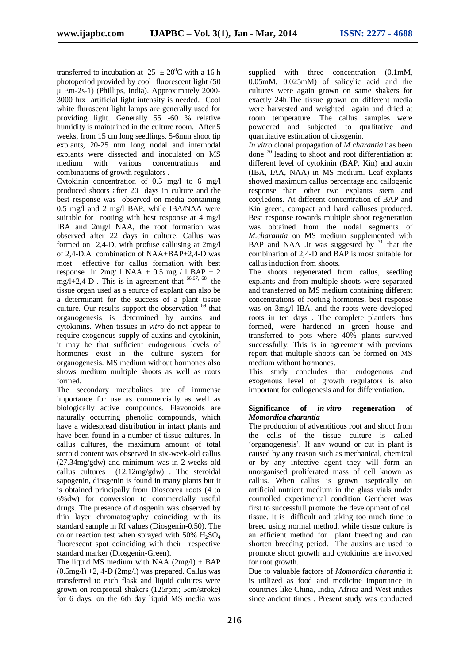transferred to incubation at  $25 \pm 20^0$ C with a 16 h photoperiod provided by cool fluorescent light (50 μ Em-2s-1) (Phillips, India). Approximately 2000- 3000 lux artificial light intensity is needed. Cool white fluroscent light lamps are generally used for providing light. Generally 55 -60 % relative humidity is maintained in the culture room. After 5 weeks, from 15 cm long seedlings, 5-6mm shoot tip explants, 20-25 mm long nodal and internodal explants were dissected and inoculated on MS medium with various concentrations and combinations of growth regulators .

Cytokinin concentration of 0.5 mg/l to 6 mg/l produced shoots after 20 days in culture and the best response was observed on media containing 0.5 mg/l and 2 mg/l BAP, while IBA/NAA were suitable for rooting with best response at 4 mg/l IBA and 2mg/l NAA, the root formation was observed after 22 days in culture. Callus was formed on 2,4-D, with profuse callusing at 2mg/l of 2,4-D.A combination of NAA+BAP+2,4-D was most effective for callus formation with best response in  $2mg/1$  NAA + 0.5 mg / 1 BAP + 2 mg/l+2,4-D. This is in agreement that  $66,67, 68$  the tissue organ used as a source of explant can also be a determinant for the success of a plant tissue culture. Our results support the observation  $69$  that organogenesis is determined by auxins and cytokinins. When tissues in *vitro* do not appear to require exogenous supply of auxins and cytokinin, it may be that sufficient endogenous levels of hormones exist in the culture system for organogenesis. MS medium without hormones also shows medium multiple shoots as well as roots formed.

The secondary metabolites are of immense importance for use as commercially as well as biologically active compounds. Flavonoids are naturally occurring phenolic compounds, which have a widespread distribution in intact plants and have been found in a number of tissue cultures. In callus cultures, the maximum amount of total steroid content was observed in six-week-old callus (27.34mg/gdw) and minimum was in 2 weeks old callus cultures (12.12mg/gdw) . The steroidal sapogenin, diosgenin is found in many plants but it is obtained principally from Dioscorea roots (4 to 6%dw) for conversion to commercially useful drugs*.* The presence of diosgenin was observed by thin layer chromatography coinciding with its standard sample in Rf values (Diosgenin-0.50). The color reaction test when sprayed with  $50\%$  H<sub>2</sub>SO<sub>4</sub> fluorescent spot coinciding with their respective standard marker (Diosgenin-Green).

The liquid MS medium with NAA  $(2mg/l) + BAP$  $(0.5mg/l) +2$ , 4-D  $(2mg/l)$  was prepared. Callus was transferred to each flask and liquid cultures were grown on reciprocal shakers (125rpm; 5cm/stroke) for 6 days, on the 6th day liquid MS media was

supplied with three concentration (0.1mM, 0.05mM, 0.025mM) of salicylic acid and the cultures were again grown on same shakers for exactly 24h.The tissue grown on different media were harvested and weighted again and dried at room temperature. The callus samples were powdered and subjected to qualitative and quantitative estimation of diosgenin.

*In vitro* clonal propagation of *M.charantia* has been done <sup>70</sup> leading to shoot and root differentiation at different level of cytokinin (BAP, Kin) and auxin (IBA, IAA, NAA) in MS medium. Leaf explants showed maximum callus percentage and callogenic response than other two explants stem and cotyledons. At different concentration of BAP and Kin green, compact and hard calluses produced. Best response towards multiple shoot regeneration was obtained from the nodal segments of *M.charantia* on MS medium supplemented with BAP and NAA .It was suggested by  $71$  that the combination of 2,4-D and BAP is most suitable for callus induction from shoots.

The shoots regenerated from callus, seedling explants and from multiple shoots were separated and transferred on MS medium containing different concentrations of rooting hormones, best response was on 3mg/l IBA, and the roots were developed roots in ten days . The complete plantlets thus formed, were hardened in green house and transferred to pots where 40% plants survived successfully. This is in agreement with previous report that multiple shoots can be formed on MS medium without hormones.

This study concludes that endogenous and exogenous level of growth regulators is also important for callogenesis and for differentiation.

#### **Significance of** *in-vitro* **regeneration of** *Momordica charantia*

The production of adventitious root and shoot from the cells of the tissue culture is called 'organogenesis'. If any wound or cut in plant is caused by any reason such as mechanical, chemical or by any infective agent they will form an unorganised proliferated mass of cell known as callus. When callus is grown aseptically on artificial nutrient medium in the glass vials under controlled experimental condition Gentheret was first to successfull promote the development of cell tissue. It is difficult and taking too much time to breed using normal method, while tissue culture is an efficient method for plant breeding and can shorten breeding period. The auxins are used to promote shoot growth and cytokinins are involved for root growth.

Due to valuable factors of *Momordica charantia* it is utilized as food and medicine importance in countries like China, India, Africa and West indies since ancient times . Present study was conducted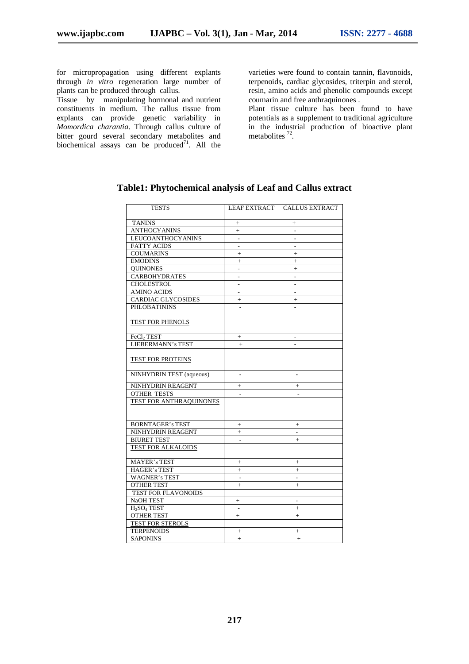for micropropagation using different explants through *in vitro* regeneration large number of plants can be produced through callus.

Tissue by manipulating hormonal and nutrient constituents in medium. The callus tissue from explants can provide genetic variability in *Momordica charantia*. Through callus culture of bitter gourd several secondary metabolites and biochemical assays can be produced $^{71}$ . All the

varieties were found to contain tannin, flavonoids, terpenoids, cardiac glycosides, triterpin and sterol, resin, amino acids and phenolic compounds except coumarin and free anthraquinones .

Plant tissue culture has been found to have potentials as a supplement to traditional agriculture in the industrial production of bioactive plant metabolites<sup>72</sup>.

| <b>TESTS</b>                        | <b>LEAF EXTRACT</b>      | <b>CALLUS EXTRACT</b>    |
|-------------------------------------|--------------------------|--------------------------|
| <b>TANINS</b>                       | $^{+}$                   | $^{+}$                   |
| <b>ANTHOCY ANINS</b>                | $+$                      | $\overline{a}$           |
| <b>LEUCOANTHOCYANINS</b>            |                          |                          |
| <b>FATTY ACIDS</b>                  | $\overline{\phantom{a}}$ | ٠                        |
| <b>COUMARINS</b>                    |                          | $^{+}$                   |
| <b>EMODINS</b>                      | $\pm$                    | $^{+}$                   |
| <b>QUINONES</b>                     | ٠                        | $+$                      |
| <b>CARBOHYDRATES</b>                |                          |                          |
| <b>CHOLESTROL</b>                   | $\overline{\phantom{a}}$ | $\overline{\phantom{a}}$ |
| <b>AMINO ACIDS</b>                  | $\overline{\phantom{m}}$ | $\overline{\phantom{0}}$ |
| <b>CARDIAC GLYCOSIDES</b>           | $+$                      | $^{+}$                   |
| <b>PHLOBATININS</b>                 | $\overline{a}$           | $\overline{a}$           |
|                                     |                          |                          |
| TEST FOR PHENOLS                    |                          |                          |
|                                     |                          |                          |
| FeCl <sub>2</sub> TEST              | $^{+}$                   | $\overline{\phantom{0}}$ |
| <b>LIEBERMANN's TEST</b>            | $+$                      |                          |
|                                     |                          |                          |
| TEST FOR PROTEINS                   |                          |                          |
|                                     |                          |                          |
| NINHYDRIN TEST (aqueous)            | $\overline{a}$           | $\overline{a}$           |
| NINHYDRIN REAGENT                   | $+$                      | $+$                      |
| <b>OTHER TESTS</b>                  |                          |                          |
| TEST FOR ANTHRAQUINONES             |                          |                          |
|                                     |                          |                          |
|                                     |                          |                          |
| <b>BORNTAGER's TEST</b>             |                          | $^{+}$                   |
| NINHYDRIN REAGENT                   | $+$                      | $\overline{\phantom{a}}$ |
| <b>BIURET TEST</b>                  |                          | $+$                      |
| TEST FOR ALKALOIDS                  |                          |                          |
|                                     |                          |                          |
| <b>MAYER's TEST</b>                 |                          | $+$                      |
| <b>HAGER's TEST</b>                 | $+$                      | $+$                      |
| <b>WAGNER's TEST</b>                | $\overline{\phantom{a}}$ | $\overline{a}$           |
| <b>OTHER TEST</b>                   |                          | $^{+}$                   |
| <b>TEST FOR FLAVONOIDS</b>          |                          |                          |
| NaOH TEST                           | $^{+}$                   | $\overline{\phantom{a}}$ |
| H <sub>2</sub> SO <sub>4</sub> TEST |                          | $^{+}$                   |
| <b>OTHER TEST</b>                   | $^{+}$                   | $+$                      |
| <b>TEST FOR STEROLS</b>             |                          |                          |
| <b>TERPENOIDS</b>                   | $^{+}$                   | $+$                      |
| <b>SAPONINS</b>                     | $+$                      | $+$                      |

### **Table1: Phytochemical analysis of Leaf and Callus extract**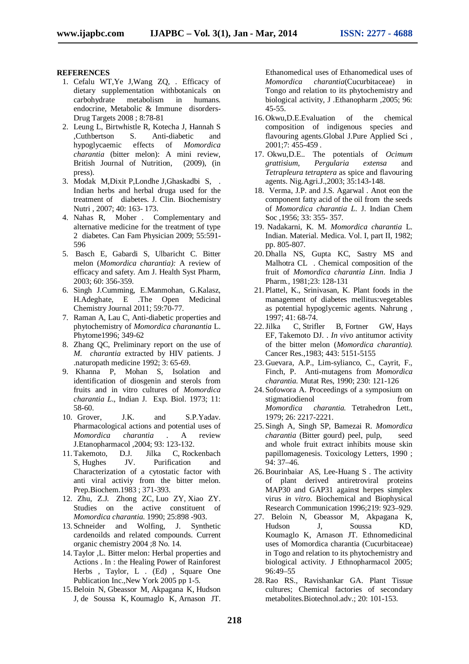#### **REFERENCES**

- 1. Cefalu WT,Ye J,Wang ZQ, . Efficacy of dietary supplementation withbotanicals on carbohydrate metabolism in humans. endocrine, Metabolic & Immune disorders-Drug Targets 2008 ; 8:78-81
- 2. Leung L, Birtwhistle R, Kotecha J, Hannah S ,Cuthbertson S. Anti-diabetic and hypoglycaemic effects of *Momordica charantia* (bitter melon): A mini review, British Journal of Nutrition, (2009), (in press).
- 3. Modak M,Dixit P,Londhe J,Ghaskadbi S, . Indian herbs and herbal druga used for the treatment of diabetes. J. Clin. Biochemistry Nutri , 2007; 40: 163- 173.
- 4. Nahas R, Moher . Complementary and alternative medicine for the treatment of type 2 diabetes. Can Fam Physician 2009; 55:591- 596
- 5. Basch E, Gabardi S, Ulbaricht C. Bitter melon (*Momordica charantia):* A review of efficacy and safety. Am J. Health Syst Pharm, 2003; 60: 356-359.
- 6. Singh J.Cumming, E.Manmohan, G.Kalasz, H.Adeghate, E .The Open Medicinal Chemistry Journal 2011; 59:70-77.
- 7. Raman A, Lau C, Anti-diabetic properties and phytochemistry of *Momordica charanantia* L. Phytome1996; 349-62
- 8. Zhang QC, Preliminary report on the use of *M. charantia* extracted by HIV patients. J .naturopath medicine 1992; 3: 65-69.
- 9. Khanna P, Mohan S, Isolation and identification of diosgenin and sterols from fruits and in vitro cultures of *Momordica charantia L*., Indian J. Exp. Biol. 1973; 11: 58-60.
- 10. Grover, J.K. and S.P.Yadav. Pharmacological actions and potential uses of *Momordica charantia* . A review J.Etanopharmacol ,2004; 93: 123-132.
- 11. Takemoto, D.J. Jilka C, Rockenbach S, Hughes JV. Purification and Characterization of a cytostatic factor with anti viral activiy from the bitter melon. Prep.Biochem.1983 ; 371-393.
- 12. Zhu, Z.J. Zhong ZC, Luo ZY, Xiao ZY. Studies on the active constituent of *Momordica charantia*. 1990; 25:898 -903.
- 13. Schneider and Wolfing, J. Synthetic cardenoilds and related compounds. Current organic chemistry 2004 ;8 No. 14.
- 14. Taylor ,L. Bitter melon: Herbal properties and Actions . In : the Healing Power of Rainforest Herbs , Taylor, L . (Ed) , Square One Publication Inc.,New York 2005 pp 1-5.
- 15.Beloin N, Gbeassor M, Akpagana K, Hudson J, de Soussa K, Koumaglo K, Arnason JT.

Ethanomedical uses of Ethanomedical uses of *Momordica charantia*(Cucurbitaceae) in Tongo and relation to its phytochemistry and biological activity, J .Ethanopharm ,2005; 96: 45-55.

- 16. Okwu,D.E.Evaluation of the chemical composition of indigenous species and flavouring agents.Global J.Pure Applied Sci , 2001;7: 455-459 .
- 17. Okwu,D.E.. The potentials of *Ocimum grattisium*, *Pergularia extensa* and *Tetrapleura tetraptera* as spice and flavouring agents. Nig.Agri.J.,2003; 35:143-148.
- 18. Verma, J.P. and J.S. Agarwal . Anot eon the component fatty acid of the oil from the seeds of *Momordica charantia L*. J. Indian Chem Soc ,1956; 33: 355- 357.
- 19. Nadakarni, K. M. *Momordica charantia* L. Indian. Material. Medica. Vol. I, part II, 1982; pp. 805-807.
- 20. Dhalla NS, Gupta KC, Sastry MS and Malhotra CL . Chemical composition of the fruit of *Momordica charantia Linn*. India J Pharm*.,* 1981;23: 128-131
- 21. Plattel, K., Srinivasan, K. Plant foods in the management of diabetes mellitus:vegetables as potential hypoglycemic agents. Nahrung , 1997; 41: 68-74.
- 22.Jilka C, Strifler B, Fortner GW, Hays EF, Takemoto DJ. . *In vivo* antitumor activity of the bitter melon (*Momordica charantia).*  Cancer Res.,1983; 443: 5151-5155
- 23. Guevara, A.P., Lim-sylianco, C., Cayrit, F., Finch, P. Anti-mutagens from *Momordica charantia*. Mutat Res, 1990; 230: 121-126
- 24. Sofowora A. Proceedings of a symposium on stigmatiodienol from from *Momordica charantia.* Tetrahedron Lett., 1979; 26: 2217-2221.
- 25. Singh A, Singh SP, Bamezai R. *Momordica charantia* (Bitter gourd) peel, pulp, seed and whole fruit extract inhibits mouse skin papillomagenesis. Toxicology Letters, 1990 ; 94: 37–46.
- 26.Bourinbaiar AS, Lee-Huang S . The activity of plant derived antiretroviral proteins MAP30 and GAP31 against herpes simplex virus *in vitro*. Biochemical and Biophysical Research Communication 1996;219: 923–929.
- 27. Beloin N, Gbeassor M, Akpagana K, Hudson J, Soussa KD, Koumaglo K, Arnason JT. Ethnomedicinal uses of Momordica charantia (Cucurbitaceae) in Togo and relation to its phytochemistry and biological activity. J Ethnopharmacol 2005; 96:49–55
- 28.Rao RS., Ravishankar GA. Plant Tissue cultures; Chemical factories of secondary metabolites.Biotechnol.adv.; 20: 101-153.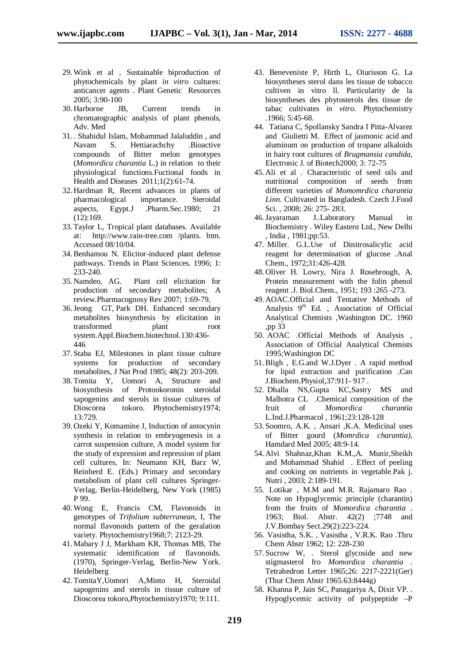- 29.Wink et al , Sustainable biproduction of phytochemicals by plant *in vitro* cultures: anticancer agents . Plant Genetic Resources 2005; 3:90-100
- 30. Harborne JB, Current trends in chromatographic analysis of plant phenols, Adv. Med
- 31. . Shahidul Islam, Mohammad Jalaluddin , and Navam S. Hettiarachchy .Bioactive compounds of Bitter melon genotypes (*Momordica charantia* L.) in relation to their physiological functions.Fuctional foods in Health and Diseases 2011;1(2):61-74.
- 32. Hardman R, Recent advances in plants of pharmacological importance. Steroidal aspects, Egypt.J .Pharm.Sec.1980; 21 (12):169.
- 33. Taylor L, Tropical plant databases. Available at: http://www.rain-tree.com /plants. htm. Accessed 08/10/04.
- 34.Benhamou N. Elicitor-induced plant defense pathways. Trends in Plant Sciences. 1996; 1: 233-240.
- 35. Namdeo, AG. Plant cell elicitation for production of secondary metabolites; A review.Pharmacognosy Rev 2007; 1:69-79.
- 36.Jeong GT, Park DH. Enhanced secondary metabolites biosynthesis by elicitation in transformed plant root system.Appl.Biochem.biotechnol.130:436- 446
- 37. Staba EJ, Milestones in plant tissue culture systems for production of secondary metabolites, J Nat Prod 1985; 48(2): 203-209.
- 38. Tomita Y, Uomori A, Structure and biosynthesis of Protookoronin steroidal sapogenins and sterols in tissue cultures of Dioscorea tokoro. Phytochemistry1974; 13:729.
- 39. Ozeki Y, Komamine J, Induction of antocynin synthesis in relation to embryogenesis in a carrot suspension culture, A model system for the study of expression and repression of plant cell cultures, In: Neumann KH, Barz W, Reinherd E. (Eds.) Primary and secondary metabolism of plant cell cultures Springer-Verlag, Berlin-Heidelberg, New York (1985) P 99.
- 40.Wong E, Francis CM, Flavonoids in genotypes of *Trifolium subterranean*, I, The normal flavonoids pattern of the geralation variety. Phytochemistry1968;7: 2123-29.
- 41. Mabary J J, Markham KR, Thomas MB, The systematic identification of flavonoids. (1970), Springer-Verlag, Berlin-New York. Heidelberg
- 42. TomitaY,Uomori A,Minto H, Steroidal sapogenins and sterols in tissue culture of Dioscorea tokoro,Phytochemistry1970; 9:111.
- 43. Beneveniste P, Hirth L, Oiurisson G. La biosyntheses sterol dans les tissue de tobacco cultiven in vitro ll. Particularity de la biosyntheses des phytosterols des tissue de tabac cultivates *in vitro*. Phytochemistry .1966; 5:45-68.
- 44. Tatiana C, Spollansky Sandra I Pitta-Alvarez and Giulietti M. Effect of jasmonic acid and aluminum on production of tropane alkaloids in hairy root cultures of *Brugmansia candida*, Electronic J. of Biotech2000; 3: 72-75
- 45. Ali et al . Characteristic of seed oils and nutritional composition of seeds from different varieties of *Momomrdica charantia Linn.* Cultivated in Bangladesh. Czech J.Food Sci. , 2008; 26: 275- 283.
- 46.Jayaraman J..Laboratory Manual in Biochemistry . Wiley Eastern Ltd., New Delhi , India , 1981;pp:53.
- 47. Miller. G.L.Use of Dinitrosalicylic acid reagent for determination of glucose .Anal Chem., 1972;31:426-428.
- 48. Oliver H. Lowry, Nira J. Rosebrough, A. Protein measurement with the folin phenol reagent .J. Biol.Chem., 1951; 193 :265 -273.
- 49. AOAC.Official and Tentative Methods of Analysis  $9<sup>th</sup>$  Ed., Association of Official Analytical Chemists ,Washington DC. 1960 ,pp 33
- 50. AOAC .Official Methods of Analysis , Association of Official Analytical Chemists 1995;Washington DC
- 51.Bligh , E.G.and W.J.Dyer . A rapid method for lipid extraction and purification .Can J.Biochem.Physiol,37:911- 917 .
- 52. Dhalla NS,Gupta KC,Sastry MS and Malhotra CL .Chemical composition of the fruit of *Momordica charantia* L.Ind.J.Pharmacol , 1961;23:128-128
- 53. Soomro, A.K. , Ansari ,K.A. Medicinal uses of Bitter gourd (*Momrdica charantia),* Hamdard Med 2005; 48:9-14.
- 54. Alvi Shahnaz,Khan K.M.,A. Munir,Sheikh and Mohammad Shahid . Effect of peeling and cooking on nutrients in vegetable.Pak j. Nutri , 2003; 2:189-191.
- 55. Lotikar , M.M and M.R. Rajamaro Rao . Note on Hypoglycemic principle (charantin) from the fruits of *Momordica charantia* . 1963; Biol. Abstr. 42(2) ;7748 and J.V.Bombay Sect.29(2):223-224.
- 56. Vasistha, S.K. , Vasistha , V.R.K. Rao .Thru Chem Abstr 1962; 12: 228-230
- 57. Sucrow W, . Sterol glycoside and new stigmasterol fro *Momordica charantia .* Tetrahedron Letter 1965;26: 2217-2221(Ger) (Thur Chem Abstr 1965.63:8444g)
- 58. Khanna P, Jain SC, Panagariya A, Dixit VP. . Hypoglycemic activity of polypeptide –P